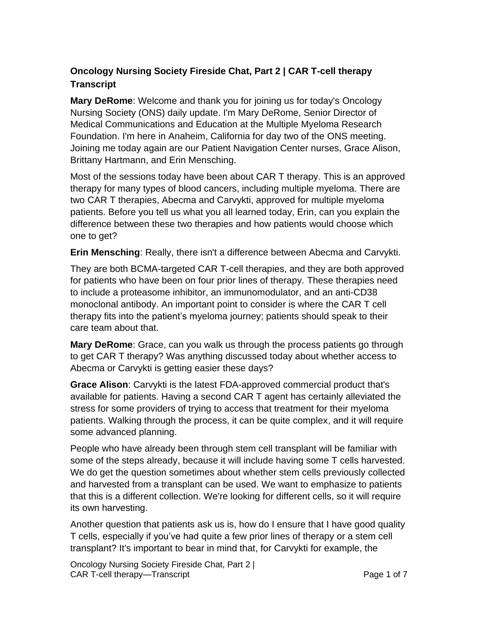## **Oncology Nursing Society Fireside Chat, Part 2 | CAR T-cell therapy Transcript**

**Mary DeRome**: Welcome and thank you for joining us for today's Oncology Nursing Society (ONS) daily update. I'm Mary DeRome, Senior Director of Medical Communications and Education at the Multiple Myeloma Research Foundation. I'm here in Anaheim, California for day two of the ONS meeting. Joining me today again are our Patient Navigation Center nurses, Grace Alison, Brittany Hartmann, and Erin Mensching.

Most of the sessions today have been about CAR T therapy. This is an approved therapy for many types of blood cancers, including multiple myeloma. There are two CAR T therapies, Abecma and Carvykti, approved for multiple myeloma patients. Before you tell us what you all learned today, Erin, can you explain the difference between these two therapies and how patients would choose which one to get?

**Erin Mensching**: Really, there isn't a difference between Abecma and Carvykti.

They are both BCMA-targeted CAR T-cell therapies, and they are both approved for patients who have been on four prior lines of therapy. These therapies need to include a proteasome inhibitor, an immunomodulator, and an anti-CD38 monoclonal antibody. An important point to consider is where the CAR T cell therapy fits into the patient's myeloma journey; patients should speak to their care team about that.

**Mary DeRome**: Grace, can you walk us through the process patients go through to get CAR T therapy? Was anything discussed today about whether access to Abecma or Carvykti is getting easier these days?

**Grace Alison**: Carvykti is the latest FDA-approved commercial product that's available for patients. Having a second CAR T agent has certainly alleviated the stress for some providers of trying to access that treatment for their myeloma patients. Walking through the process, it can be quite complex, and it will require some advanced planning.

People who have already been through stem cell transplant will be familiar with some of the steps already, because it will include having some T cells harvested. We do get the question sometimes about whether stem cells previously collected and harvested from a transplant can be used. We want to emphasize to patients that this is a different collection. We're looking for different cells, so it will require its own harvesting.

Another question that patients ask us is, how do I ensure that I have good quality T cells, especially if you've had quite a few prior lines of therapy or a stem cell transplant? It's important to bear in mind that, for Carvykti for example, the

Oncology Nursing Society Fireside Chat, Part 2 | CAR T-cell therapy—Transcript **Page 1 of 7** and 2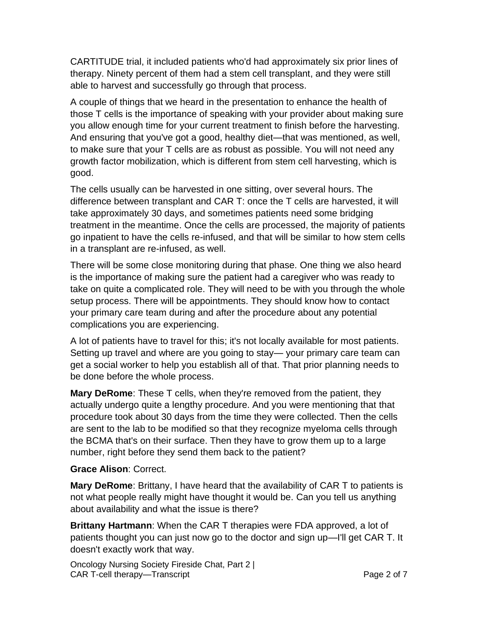CARTITUDE trial, it included patients who'd had approximately six prior lines of therapy. Ninety percent of them had a stem cell transplant, and they were still able to harvest and successfully go through that process.

A couple of things that we heard in the presentation to enhance the health of those T cells is the importance of speaking with your provider about making sure you allow enough time for your current treatment to finish before the harvesting. And ensuring that you've got a good, healthy diet—that was mentioned, as well, to make sure that your T cells are as robust as possible. You will not need any growth factor mobilization, which is different from stem cell harvesting, which is good.

The cells usually can be harvested in one sitting, over several hours. The difference between transplant and CAR T: once the T cells are harvested, it will take approximately 30 days, and sometimes patients need some bridging treatment in the meantime. Once the cells are processed, the majority of patients go inpatient to have the cells re-infused, and that will be similar to how stem cells in a transplant are re-infused, as well.

There will be some close monitoring during that phase. One thing we also heard is the importance of making sure the patient had a caregiver who was ready to take on quite a complicated role. They will need to be with you through the whole setup process. There will be appointments. They should know how to contact your primary care team during and after the procedure about any potential complications you are experiencing.

A lot of patients have to travel for this; it's not locally available for most patients. Setting up travel and where are you going to stay— your primary care team can get a social worker to help you establish all of that. That prior planning needs to be done before the whole process.

**Mary DeRome**: These T cells, when they're removed from the patient, they actually undergo quite a lengthy procedure. And you were mentioning that that procedure took about 30 days from the time they were collected. Then the cells are sent to the lab to be modified so that they recognize myeloma cells through the BCMA that's on their surface. Then they have to grow them up to a large number, right before they send them back to the patient?

## **Grace Alison**: Correct.

**Mary DeRome**: Brittany, I have heard that the availability of CAR T to patients is not what people really might have thought it would be. Can you tell us anything about availability and what the issue is there?

**Brittany Hartmann**: When the CAR T therapies were FDA approved, a lot of patients thought you can just now go to the doctor and sign up—I'll get CAR T. It doesn't exactly work that way.

Oncology Nursing Society Fireside Chat, Part 2 | CAR T-cell therapy—Transcript **Page 2 of 7**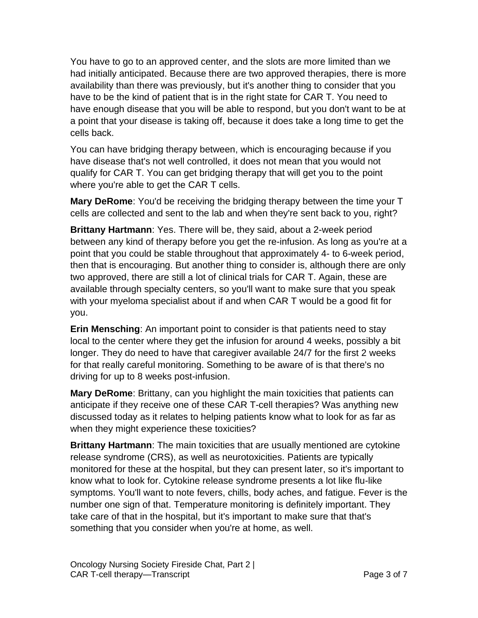You have to go to an approved center, and the slots are more limited than we had initially anticipated. Because there are two approved therapies, there is more availability than there was previously, but it's another thing to consider that you have to be the kind of patient that is in the right state for CAR T. You need to have enough disease that you will be able to respond, but you don't want to be at a point that your disease is taking off, because it does take a long time to get the cells back.

You can have bridging therapy between, which is encouraging because if you have disease that's not well controlled, it does not mean that you would not qualify for CAR T. You can get bridging therapy that will get you to the point where you're able to get the CAR T cells.

**Mary DeRome**: You'd be receiving the bridging therapy between the time your T cells are collected and sent to the lab and when they're sent back to you, right?

**Brittany Hartmann**: Yes. There will be, they said, about a 2-week period between any kind of therapy before you get the re-infusion. As long as you're at a point that you could be stable throughout that approximately 4- to 6-week period, then that is encouraging. But another thing to consider is, although there are only two approved, there are still a lot of clinical trials for CAR T. Again, these are available through specialty centers, so you'll want to make sure that you speak with your myeloma specialist about if and when CAR T would be a good fit for you.

**Erin Mensching**: An important point to consider is that patients need to stay local to the center where they get the infusion for around 4 weeks, possibly a bit longer. They do need to have that caregiver available 24/7 for the first 2 weeks for that really careful monitoring. Something to be aware of is that there's no driving for up to 8 weeks post-infusion.

**Mary DeRome**: Brittany, can you highlight the main toxicities that patients can anticipate if they receive one of these CAR T-cell therapies? Was anything new discussed today as it relates to helping patients know what to look for as far as when they might experience these toxicities?

**Brittany Hartmann**: The main toxicities that are usually mentioned are cytokine release syndrome (CRS), as well as neurotoxicities. Patients are typically monitored for these at the hospital, but they can present later, so it's important to know what to look for. Cytokine release syndrome presents a lot like flu-like symptoms. You'll want to note fevers, chills, body aches, and fatigue. Fever is the number one sign of that. Temperature monitoring is definitely important. They take care of that in the hospital, but it's important to make sure that that's something that you consider when you're at home, as well.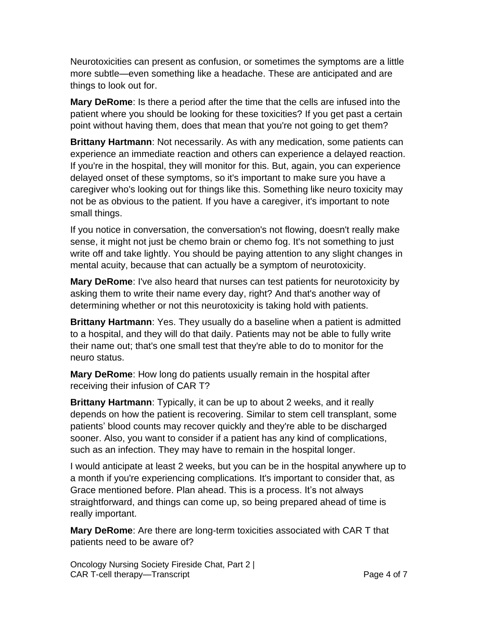Neurotoxicities can present as confusion, or sometimes the symptoms are a little more subtle—even something like a headache. These are anticipated and are things to look out for.

**Mary DeRome**: Is there a period after the time that the cells are infused into the patient where you should be looking for these toxicities? If you get past a certain point without having them, does that mean that you're not going to get them?

**Brittany Hartmann**: Not necessarily. As with any medication, some patients can experience an immediate reaction and others can experience a delayed reaction. If you're in the hospital, they will monitor for this. But, again, you can experience delayed onset of these symptoms, so it's important to make sure you have a caregiver who's looking out for things like this. Something like neuro toxicity may not be as obvious to the patient. If you have a caregiver, it's important to note small things.

If you notice in conversation, the conversation's not flowing, doesn't really make sense, it might not just be chemo brain or chemo fog. It's not something to just write off and take lightly. You should be paying attention to any slight changes in mental acuity, because that can actually be a symptom of neurotoxicity.

**Mary DeRome**: I've also heard that nurses can test patients for neurotoxicity by asking them to write their name every day, right? And that's another way of determining whether or not this neurotoxicity is taking hold with patients.

**Brittany Hartmann**: Yes. They usually do a baseline when a patient is admitted to a hospital, and they will do that daily. Patients may not be able to fully write their name out; that's one small test that they're able to do to monitor for the neuro status.

**Mary DeRome**: How long do patients usually remain in the hospital after receiving their infusion of CAR T?

**Brittany Hartmann**: Typically, it can be up to about 2 weeks, and it really depends on how the patient is recovering. Similar to stem cell transplant, some patients' blood counts may recover quickly and they're able to be discharged sooner. Also, you want to consider if a patient has any kind of complications, such as an infection. They may have to remain in the hospital longer.

I would anticipate at least 2 weeks, but you can be in the hospital anywhere up to a month if you're experiencing complications. It's important to consider that, as Grace mentioned before. Plan ahead. This is a process. It's not always straightforward, and things can come up, so being prepared ahead of time is really important.

**Mary DeRome**: Are there are long-term toxicities associated with CAR T that patients need to be aware of?

Oncology Nursing Society Fireside Chat, Part 2 | CAR T-cell therapy—Transcript **Page 4 of 7**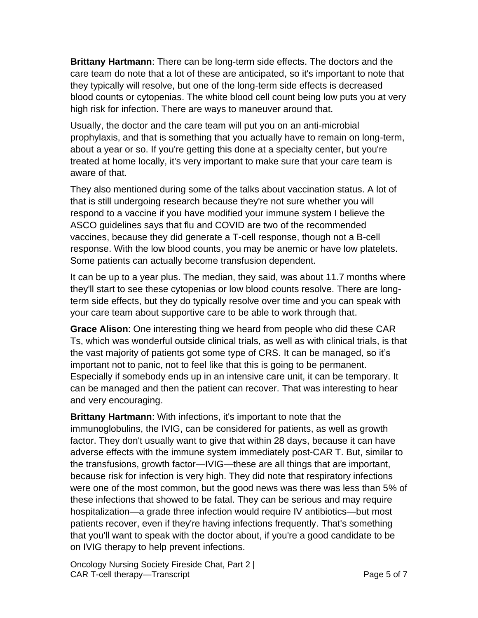**Brittany Hartmann**: There can be long-term side effects. The doctors and the care team do note that a lot of these are anticipated, so it's important to note that they typically will resolve, but one of the long-term side effects is decreased blood counts or cytopenias. The white blood cell count being low puts you at very high risk for infection. There are ways to maneuver around that.

Usually, the doctor and the care team will put you on an anti-microbial prophylaxis, and that is something that you actually have to remain on long-term, about a year or so. If you're getting this done at a specialty center, but you're treated at home locally, it's very important to make sure that your care team is aware of that.

They also mentioned during some of the talks about vaccination status. A lot of that is still undergoing research because they're not sure whether you will respond to a vaccine if you have modified your immune system I believe the ASCO guidelines says that flu and COVID are two of the recommended vaccines, because they did generate a T-cell response, though not a B-cell response. With the low blood counts, you may be anemic or have low platelets. Some patients can actually become transfusion dependent.

It can be up to a year plus. The median, they said, was about 11.7 months where they'll start to see these cytopenias or low blood counts resolve. There are longterm side effects, but they do typically resolve over time and you can speak with your care team about supportive care to be able to work through that.

**Grace Alison**: One interesting thing we heard from people who did these CAR Ts, which was wonderful outside clinical trials, as well as with clinical trials, is that the vast majority of patients got some type of CRS. It can be managed, so it's important not to panic, not to feel like that this is going to be permanent. Especially if somebody ends up in an intensive care unit, it can be temporary. It can be managed and then the patient can recover. That was interesting to hear and very encouraging.

**Brittany Hartmann**: With infections, it's important to note that the immunoglobulins, the IVIG, can be considered for patients, as well as growth factor. They don't usually want to give that within 28 days, because it can have adverse effects with the immune system immediately post-CAR T. But, similar to the transfusions, growth factor—IVIG—these are all things that are important, because risk for infection is very high. They did note that respiratory infections were one of the most common, but the good news was there was less than 5% of these infections that showed to be fatal. They can be serious and may require hospitalization—a grade three infection would require IV antibiotics—but most patients recover, even if they're having infections frequently. That's something that you'll want to speak with the doctor about, if you're a good candidate to be on IVIG therapy to help prevent infections.

Oncology Nursing Society Fireside Chat, Part 2 | CAR T-cell therapy—Transcript **Page 5 of 7** and 2008 Formulation Page 5 of 7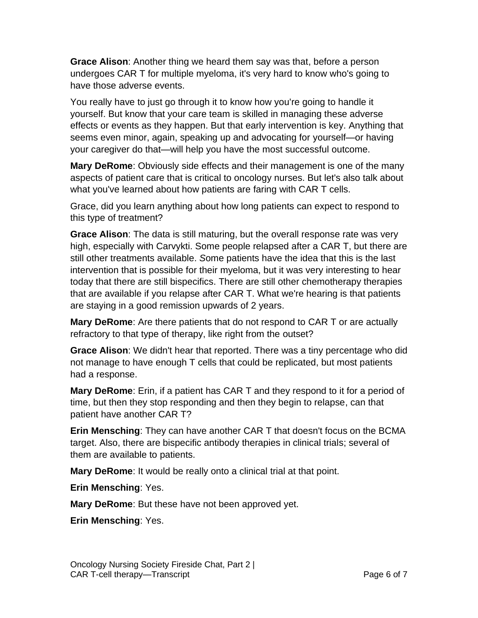**Grace Alison**: Another thing we heard them say was that, before a person undergoes CAR T for multiple myeloma, it's very hard to know who's going to have those adverse events.

You really have to just go through it to know how you're going to handle it yourself. But know that your care team is skilled in managing these adverse effects or events as they happen. But that early intervention is key. Anything that seems even minor, again, speaking up and advocating for yourself—or having your caregiver do that—will help you have the most successful outcome.

**Mary DeRome**: Obviously side effects and their management is one of the many aspects of patient care that is critical to oncology nurses. But let's also talk about what you've learned about how patients are faring with CAR T cells.

Grace, did you learn anything about how long patients can expect to respond to this type of treatment?

**Grace Alison**: The data is still maturing, but the overall response rate was very high, especially with Carvykti. Some people relapsed after a CAR T, but there are still other treatments available. *S*ome patients have the idea that this is the last intervention that is possible for their myeloma, but it was very interesting to hear today that there are still bispecifics. There are still other chemotherapy therapies that are available if you relapse after CAR T. What we're hearing is that patients are staying in a good remission upwards of 2 years.

**Mary DeRome**: Are there patients that do not respond to CAR T or are actually refractory to that type of therapy, like right from the outset?

**Grace Alison**: We didn't hear that reported. There was a tiny percentage who did not manage to have enough T cells that could be replicated, but most patients had a response.

**Mary DeRome**: Erin, if a patient has CAR T and they respond to it for a period of time, but then they stop responding and then they begin to relapse, can that patient have another CAR T?

**Erin Mensching**: They can have another CAR T that doesn't focus on the BCMA target. Also, there are bispecific antibody therapies in clinical trials; several of them are available to patients.

**Mary DeRome**: It would be really onto a clinical trial at that point.

**Erin Mensching**: Yes.

**Mary DeRome**: But these have not been approved yet.

**Erin Mensching**: Yes.